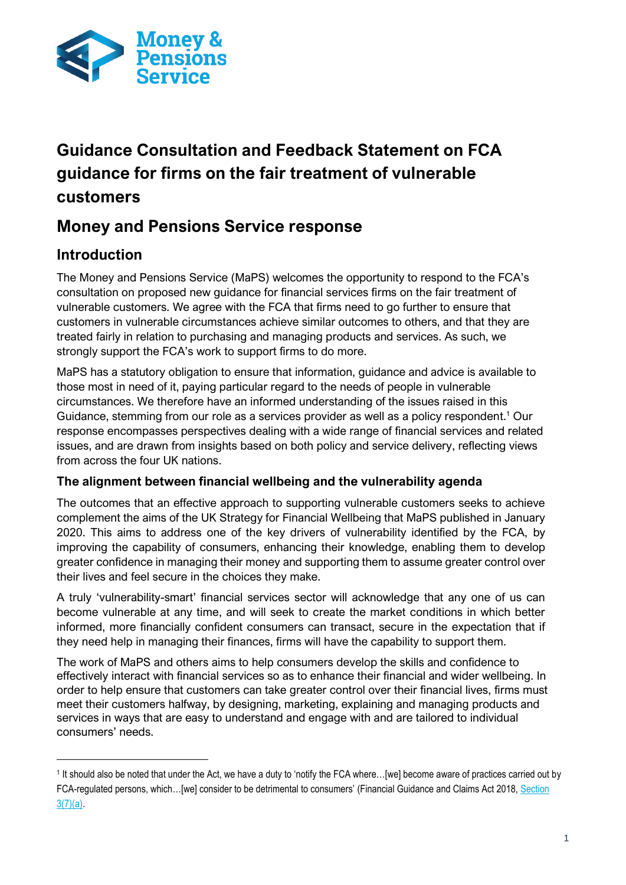

# **Guidance Consultation and Feedback Statement on FCA guidance for firms on the fair treatment of vulnerable customers**

## **Money and Pensions Service response**

## **Introduction**

The Money and Pensions Service (MaPS) welcomes the opportunity to respond to the FCA's consultation on proposed new guidance for financial services firms on the fair treatment of vulnerable customers. We agree with the FCA that firms need to go further to ensure that customers in vulnerable circumstances achieve similar outcomes to others, and that they are treated fairly in relation to purchasing and managing products and services. As such, we strongly support the FCA's work to support firms to do more.

MaPS has a statutory obligation to ensure that information, guidance and advice is available to those most in need of it, paying particular regard to the needs of people in vulnerable circumstances. We therefore have an informed understanding of the issues raised in this Guidance, stemming from our role as a services provider as well as a policy respondent.<sup>1</sup> Our response encompasses perspectives dealing with a wide range of financial services and related issues, and are drawn from insights based on both policy and service delivery, reflecting views from across the four UK nations.

### **The alignment between financial wellbeing and the vulnerability agenda**

The outcomes that an effective approach to supporting vulnerable customers seeks to achieve complement the aims of the UK Strategy for Financial Wellbeing that MaPS published in January 2020. This aims to address one of the key drivers of vulnerability identified by the FCA, by improving the capability of consumers, enhancing their knowledge, enabling them to develop greater confidence in managing their money and supporting them to assume greater control over their lives and feel secure in the choices they make.

A truly 'vulnerability-smart' financial services sector will acknowledge that any one of us can become vulnerable at any time, and will seek to create the market conditions in which better informed, more financially confident consumers can transact, secure in the expectation that if they need help in managing their finances, firms will have the capability to support them.

The work of MaPS and others aims to help consumers develop the skills and confidence to effectively interact with financial services so as to enhance their financial and wider wellbeing. In order to help ensure that customers can take greater control over their financial lives, firms must meet their customers halfway, by designing, marketing, explaining and managing products and services in ways that are easy to understand and engage with and are tailored to individual consumers' needs.

<sup>1</sup> It should also be noted that under the Act, we have a duty to 'notify the FCA where…[we] become aware of practices carried out by FCA-regulated persons, which…[we] consider to be detrimental to consumers' (Financial Guidance and Claims Act 2018, [Section](https://www.legislation.gov.uk/ukpga/2018/10/part/1/crossheading/objectives-and-functions-of-the-single-financial-guidance-body/enacted)   $3(7)(a)$ .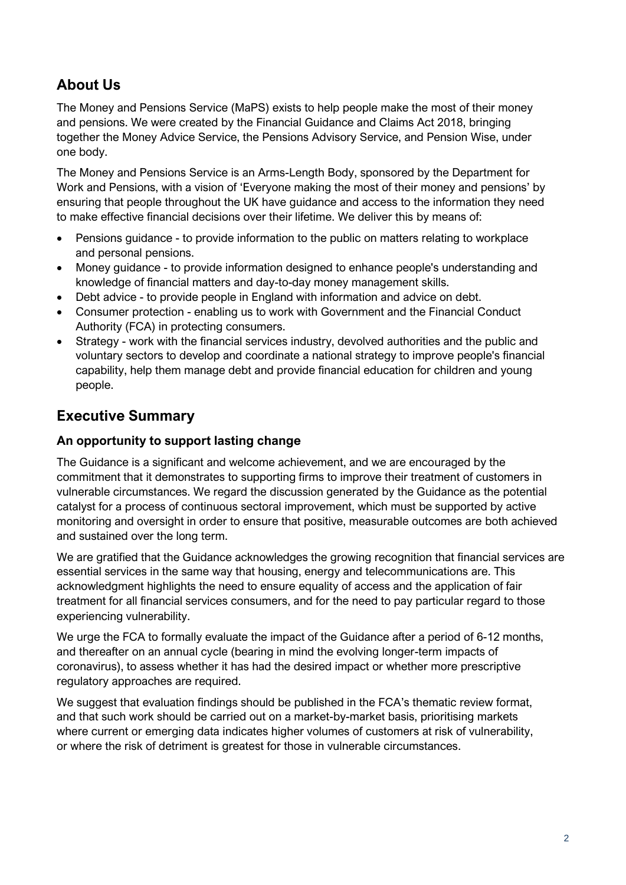## **About Us**

The Money and Pensions Service (MaPS) exists to help people make the most of their money and pensions. We were created by the Financial Guidance and Claims Act 2018, bringing together the Money Advice Service, the Pensions Advisory Service, and Pension Wise, under one body.

The Money and Pensions Service is an Arms-Length Body, sponsored by the Department for Work and Pensions, with a vision of 'Everyone making the most of their money and pensions' by ensuring that people throughout the UK have guidance and access to the information they need to make effective financial decisions over their lifetime. We deliver this by means of:

- Pensions guidance to provide information to the public on matters relating to workplace and personal pensions.
- Money guidance to provide information designed to enhance people's understanding and knowledge of financial matters and day-to-day money management skills.
- Debt advice to provide people in England with information and advice on debt.
- Consumer protection enabling us to work with Government and the Financial Conduct Authority (FCA) in protecting consumers.
- Strategy work with the financial services industry, devolved authorities and the public and voluntary sectors to develop and coordinate a national strategy to improve people's financial capability, help them manage debt and provide financial education for children and young people.

## **Executive Summary**

#### **An opportunity to support lasting change**

The Guidance is a significant and welcome achievement, and we are encouraged by the commitment that it demonstrates to supporting firms to improve their treatment of customers in vulnerable circumstances. We regard the discussion generated by the Guidance as the potential catalyst for a process of continuous sectoral improvement, which must be supported by active monitoring and oversight in order to ensure that positive, measurable outcomes are both achieved and sustained over the long term.

We are gratified that the Guidance acknowledges the growing recognition that financial services are essential services in the same way that housing, energy and telecommunications are. This acknowledgment highlights the need to ensure equality of access and the application of fair treatment for all financial services consumers, and for the need to pay particular regard to those experiencing vulnerability.

We urge the FCA to formally evaluate the impact of the Guidance after a period of 6-12 months, and thereafter on an annual cycle (bearing in mind the evolving longer-term impacts of coronavirus), to assess whether it has had the desired impact or whether more prescriptive regulatory approaches are required.

We suggest that evaluation findings should be published in the FCA's thematic review format, and that such work should be carried out on a market-by-market basis, prioritising markets where current or emerging data indicates higher volumes of customers at risk of vulnerability, or where the risk of detriment is greatest for those in vulnerable circumstances.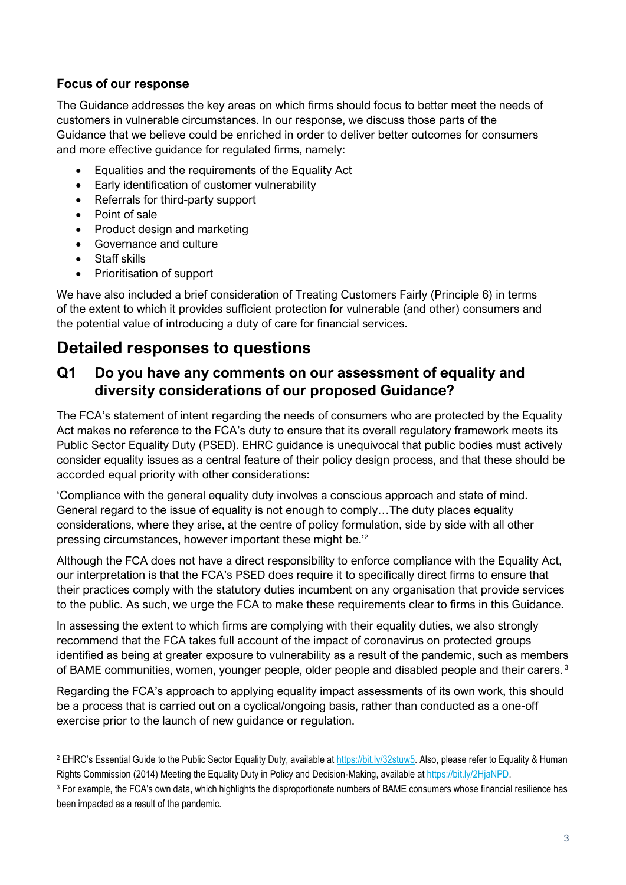### **Focus of our response**

The Guidance addresses the key areas on which firms should focus to better meet the needs of customers in vulnerable circumstances. In our response, we discuss those parts of the Guidance that we believe could be enriched in order to deliver better outcomes for consumers and more effective guidance for regulated firms, namely:

- Equalities and the requirements of the Equality Act
- Early identification of customer vulnerability
- Referrals for third-party support
- Point of sale
- Product design and marketing
- Governance and culture
- Staff skills
- Prioritisation of support

We have also included a brief consideration of Treating Customers Fairly (Principle 6) in terms of the extent to which it provides sufficient protection for vulnerable (and other) consumers and the potential value of introducing a duty of care for financial services.

## **Detailed responses to questions**

## **Q1 Do you have any comments on our assessment of equality and diversity considerations of our proposed Guidance?**

The FCA's statement of intent regarding the needs of consumers who are protected by the Equality Act makes no reference to the FCA's duty to ensure that its overall regulatory framework meets its Public Sector Equality Duty (PSED). EHRC guidance is unequivocal that public bodies must actively consider equality issues as a central feature of their policy design process, and that these should be accorded equal priority with other considerations:

'Compliance with the general equality duty involves a conscious approach and state of mind. General regard to the issue of equality is not enough to comply…The duty places equality considerations, where they arise, at the centre of policy formulation, side by side with all other pressing circumstances, however important these might be.'<sup>2</sup>

Although the FCA does not have a direct responsibility to enforce compliance with the Equality Act, our interpretation is that the FCA's PSED does require it to specifically direct firms to ensure that their practices comply with the statutory duties incumbent on any organisation that provide services to the public. As such, we urge the FCA to make these requirements clear to firms in this Guidance.

In assessing the extent to which firms are complying with their equality duties, we also strongly recommend that the FCA takes full account of the impact of coronavirus on protected groups identified as being at greater exposure to vulnerability as a result of the pandemic, such as members of BAME communities, women, younger people, older people and disabled people and their carers.<sup>3</sup>

Regarding the FCA's approach to applying equality impact assessments of its own work, this should be a process that is carried out on a cyclical/ongoing basis, rather than conducted as a one-off exercise prior to the launch of new guidance or regulation.

<sup>&</sup>lt;sup>2</sup> EHRC's Essential Guide to the Public Sector Equality Duty, available at [https://bit.ly/32stuw5.](https://bit.ly/32stuw5) Also, please refer to Equality & Human Rights Commission (2014) Meeting the Equality Duty in Policy and Decision-Making, available at [https://bit.ly/2HjaNPD.](https://bit.ly/2HjaNPD) 

<sup>&</sup>lt;sup>3</sup> For example, the FCA's own data, which highlights the disproportionate numbers of BAME consumers whose financial resilience has been impacted as a result of the pandemic.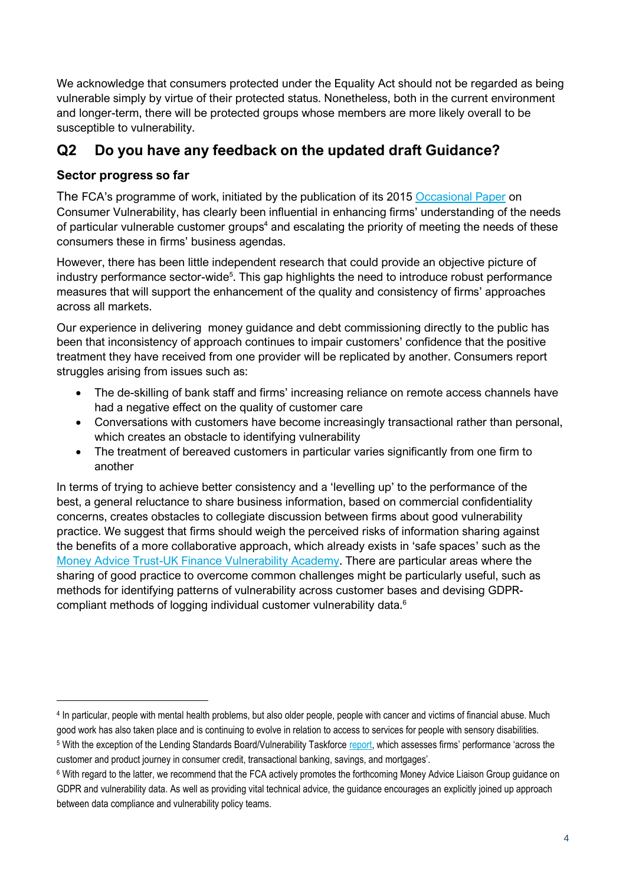We acknowledge that consumers protected under the Equality Act should not be regarded as being vulnerable simply by virtue of their protected status. Nonetheless, both in the current environment and longer-term, there will be protected groups whose members are more likely overall to be susceptible to vulnerability.

## **Q2 Do you have any feedback on the updated draft Guidance?**

## **Sector progress so far**

The FCA's programme of work, initiated by the publication of its 2015 [Occasional Paper](https://www.fca.org.uk/publication/occasional-papers/occasional-paper-8.pdf) on Consumer Vulnerability, has clearly been influential in enhancing firms' understanding of the needs of particular vulnerable customer groups<sup>4</sup> and escalating the priority of meeting the needs of these consumers these in firms' business agendas.

However, there has been little independent research that could provide an objective picture of industry performance sector-wide<sup>5</sup>. This gap highlights the need to introduce robust performance measures that will support the enhancement of the quality and consistency of firms' approaches across all markets.

Our experience in delivering money guidance and debt commissioning directly to the public has been that inconsistency of approach continues to impair customers' confidence that the positive treatment they have received from one provider will be replicated by another. Consumers report struggles arising from issues such as:

- The de-skilling of bank staff and firms' increasing reliance on remote access channels have had a negative effect on the quality of customer care
- Conversations with customers have become increasingly transactional rather than personal, which creates an obstacle to identifying vulnerability
- The treatment of bereaved customers in particular varies significantly from one firm to another

In terms of trying to achieve better consistency and a 'levelling up' to the performance of the best, a general reluctance to share business information, based on commercial confidentiality concerns, creates obstacles to collegiate discussion between firms about good vulnerability practice. We suggest that firms should weigh the perceived risks of information sharing against the benefits of a more collaborative approach, which already exists in 'safe spaces' such as the [Money Advice Trust-UK Finance Vulnerability Academy.](https://www.ukfinance.org.uk/sites/default/files/uploads/pdf/VulnerabilityAcademyBrochure.pdf) There are particular areas where the sharing of good practice to overcome common challenges might be particularly useful, such as methods for identifying patterns of vulnerability across customer bases and devising GDPRcompliant methods of logging individual customer vulnerability data.<sup>6</sup>

<sup>4</sup> In particular, people with mental health problems, but also older people, people with cancer and victims of financial abuse. Much good work has also taken place and is continuing to evolve in relation to access to services for people with sensory disabilities.

<sup>&</sup>lt;sup>5</sup> With the exception of the Lending Standards Board/Vulnerability Taskforce [report,](https://www.lendingstandardsboard.org.uk/wp-content/uploads/2018/10/Vulnerability-Taskforce-summary-report-FINAL_.pdf) which assesses firms' performance 'across the customer and product journey in consumer credit, transactional banking, savings, and mortgages'.

<sup>6</sup> With regard to the latter, we recommend that the FCA actively promotes the forthcoming Money Advice Liaison Group guidance on GDPR and vulnerability data. As well as providing vital technical advice, the guidance encourages an explicitly joined up approach between data compliance and vulnerability policy teams.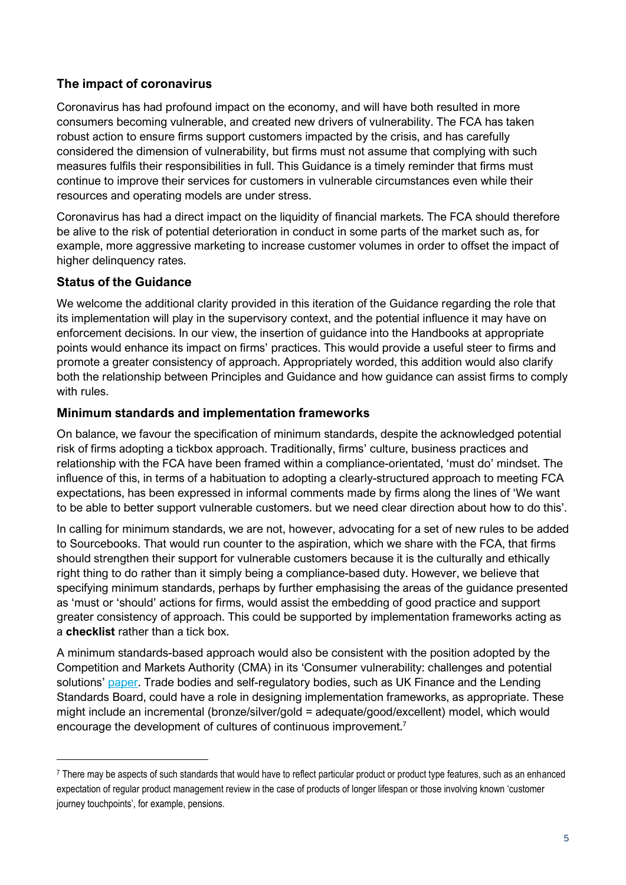## **The impact of coronavirus**

Coronavirus has had profound impact on the economy, and will have both resulted in more consumers becoming vulnerable, and created new drivers of vulnerability. The FCA has taken robust action to ensure firms support customers impacted by the crisis, and has carefully considered the dimension of vulnerability, but firms must not assume that complying with such measures fulfils their responsibilities in full. This Guidance is a timely reminder that firms must continue to improve their services for customers in vulnerable circumstances even while their resources and operating models are under stress.

Coronavirus has had a direct impact on the liquidity of financial markets. The FCA should therefore be alive to the risk of potential deterioration in conduct in some parts of the market such as, for example, more aggressive marketing to increase customer volumes in order to offset the impact of higher delinquency rates.

#### **Status of the Guidance**

We welcome the additional clarity provided in this iteration of the Guidance regarding the role that its implementation will play in the supervisory context, and the potential influence it may have on enforcement decisions. In our view, the insertion of guidance into the Handbooks at appropriate points would enhance its impact on firms' practices. This would provide a useful steer to firms and promote a greater consistency of approach. Appropriately worded, this addition would also clarify both the relationship between Principles and Guidance and how guidance can assist firms to comply with rules.

#### **Minimum standards and implementation frameworks**

On balance, we favour the specification of minimum standards, despite the acknowledged potential risk of firms adopting a tickbox approach. Traditionally, firms' culture, business practices and relationship with the FCA have been framed within a compliance-orientated, 'must do' mindset. The influence of this, in terms of a habituation to adopting a clearly-structured approach to meeting FCA expectations, has been expressed in informal comments made by firms along the lines of 'We want to be able to better support vulnerable customers. but we need clear direction about how to do this'.

In calling for minimum standards, we are not, however, advocating for a set of new rules to be added to Sourcebooks. That would run counter to the aspiration, which we share with the FCA, that firms should strengthen their support for vulnerable customers because it is the culturally and ethically right thing to do rather than it simply being a compliance-based duty. However, we believe that specifying minimum standards, perhaps by further emphasising the areas of the guidance presented as 'must or 'should' actions for firms, would assist the embedding of good practice and support greater consistency of approach. This could be supported by implementation frameworks acting as a **checklist** rather than a tick box.

A minimum standards-based approach would also be consistent with the position adopted by the Competition and Markets Authority (CMA) in its 'Consumer vulnerability: challenges and potential solutions' [paper.](https://assets.publishing.service.gov.uk/government/uploads/system/uploads/attachment_data/file/782542/CMA-Vulnerable_People_Accessible.pdf) Trade bodies and self-regulatory bodies, such as UK Finance and the Lending Standards Board, could have a role in designing implementation frameworks, as appropriate. These might include an incremental (bronze/silver/gold = adequate/good/excellent) model, which would encourage the development of cultures of continuous improvement.<sup>7</sup>

<sup>7</sup> There may be aspects of such standards that would have to reflect particular product or product type features, such as an enhanced expectation of regular product management review in the case of products of longer lifespan or those involving known 'customer journey touchpoints', for example, pensions.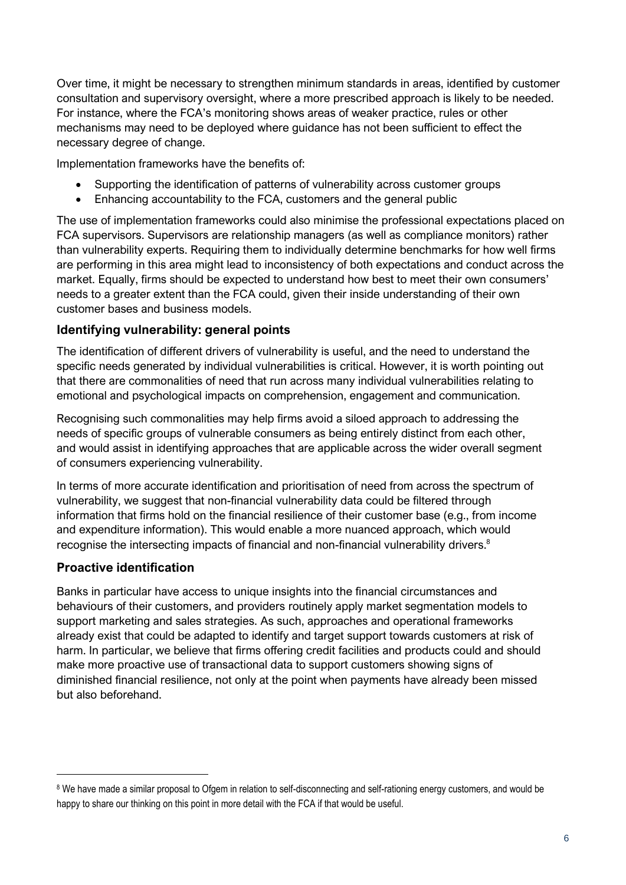Over time, it might be necessary to strengthen minimum standards in areas, identified by customer consultation and supervisory oversight, where a more prescribed approach is likely to be needed. For instance, where the FCA's monitoring shows areas of weaker practice, rules or other mechanisms may need to be deployed where guidance has not been sufficient to effect the necessary degree of change.

Implementation frameworks have the benefits of:

- Supporting the identification of patterns of vulnerability across customer groups
- Enhancing accountability to the FCA, customers and the general public

The use of implementation frameworks could also minimise the professional expectations placed on FCA supervisors. Supervisors are relationship managers (as well as compliance monitors) rather than vulnerability experts. Requiring them to individually determine benchmarks for how well firms are performing in this area might lead to inconsistency of both expectations and conduct across the market. Equally, firms should be expected to understand how best to meet their own consumers' needs to a greater extent than the FCA could, given their inside understanding of their own customer bases and business models.

#### **Identifying vulnerability: general points**

The identification of different drivers of vulnerability is useful, and the need to understand the specific needs generated by individual vulnerabilities is critical. However, it is worth pointing out that there are commonalities of need that run across many individual vulnerabilities relating to emotional and psychological impacts on comprehension, engagement and communication.

Recognising such commonalities may help firms avoid a siloed approach to addressing the needs of specific groups of vulnerable consumers as being entirely distinct from each other, and would assist in identifying approaches that are applicable across the wider overall segment of consumers experiencing vulnerability.

In terms of more accurate identification and prioritisation of need from across the spectrum of vulnerability, we suggest that non-financial vulnerability data could be filtered through information that firms hold on the financial resilience of their customer base (e.g., from income and expenditure information). This would enable a more nuanced approach, which would recognise the intersecting impacts of financial and non-financial vulnerability drivers.<sup>8</sup>

#### **Proactive identification**

Banks in particular have access to unique insights into the financial circumstances and behaviours of their customers, and providers routinely apply market segmentation models to support marketing and sales strategies. As such, approaches and operational frameworks already exist that could be adapted to identify and target support towards customers at risk of harm. In particular, we believe that firms offering credit facilities and products could and should make more proactive use of transactional data to support customers showing signs of diminished financial resilience, not only at the point when payments have already been missed but also beforehand.

<sup>&</sup>lt;sup>8</sup> We have made a similar proposal to Ofgem in relation to self-disconnecting and self-rationing energy customers, and would be happy to share our thinking on this point in more detail with the FCA if that would be useful.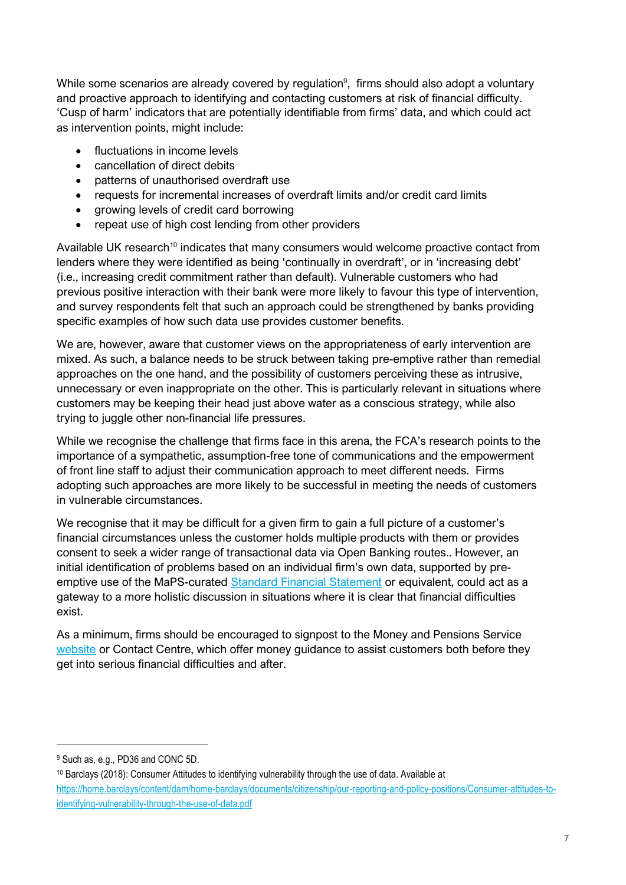While some scenarios are already covered by regulation<sup>9</sup>, firms should also adopt a voluntary and proactive approach to identifying and contacting customers at risk of financial difficulty. 'Cusp of harm' indicators that are potentially identifiable from firms' data, and which could act as intervention points, might include:

- fluctuations in income levels
- cancellation of direct debits
- patterns of unauthorised overdraft use
- requests for incremental increases of overdraft limits and/or credit card limits
- growing levels of credit card borrowing
- repeat use of high cost lending from other providers

Available UK research<sup>10</sup> indicates that many consumers would welcome proactive contact from lenders where they were identified as being 'continually in overdraft', or in 'increasing debt' (i.e., increasing credit commitment rather than default). Vulnerable customers who had previous positive interaction with their bank were more likely to favour this type of intervention, and survey respondents felt that such an approach could be strengthened by banks providing specific examples of how such data use provides customer benefits.

We are, however, aware that customer views on the appropriateness of early intervention are mixed. As such, a balance needs to be struck between taking pre-emptive rather than remedial approaches on the one hand, and the possibility of customers perceiving these as intrusive, unnecessary or even inappropriate on the other. This is particularly relevant in situations where customers may be keeping their head just above water as a conscious strategy, while also trying to juggle other non-financial life pressures.

While we recognise the challenge that firms face in this arena, the FCA's research points to the importance of a sympathetic, assumption-free tone of communications and the empowerment of front line staff to adjust their communication approach to meet different needs. Firms adopting such approaches are more likely to be successful in meeting the needs of customers in vulnerable circumstances.

We recognise that it may be difficult for a given firm to gain a full picture of a customer's financial circumstances unless the customer holds multiple products with them or provides consent to seek a wider range of transactional data via Open Banking routes.. However, an initial identification of problems based on an individual firm's own data, supported by preemptive use of the MaPS-curated [Standard Financial Statement](https://sfs.moneyadviceservice.org.uk/en/#:~:text=The%20Standard%20Financial%20Statement%20(SFS,with%20any%20debts%20they%20owe.&text=It%20provides%20a%20single%20format,people%20struggling%20with%20their%20finances.) or equivalent, could act as a gateway to a more holistic discussion in situations where it is clear that financial difficulties exist.

As a minimum, firms should be encouraged to signpost to the Money and Pensions Service [website](https://www.moneyadviceservice.org.uk/en) or Contact Centre, which offer money guidance to assist customers both before they get into serious financial difficulties and after.

<sup>9</sup> Such as, e.g., PD36 and CONC 5D.

<sup>10</sup> Barclays (2018): Consumer Attitudes to identifying vulnerability through the use of data. Available at [https://home.barclays/content/dam/home-barclays/documents/citizenship/our-reporting-and-policy-positions/Consumer-attitudes-to](https://home.barclays/content/dam/home-barclays/documents/citizenship/our-reporting-and-policy-positions/Consumer-attitudes-to-identifying-vulnerability-through-the-use-of-data.pdf)[identifying-vulnerability-through-the-use-of-data.pdf](https://home.barclays/content/dam/home-barclays/documents/citizenship/our-reporting-and-policy-positions/Consumer-attitudes-to-identifying-vulnerability-through-the-use-of-data.pdf)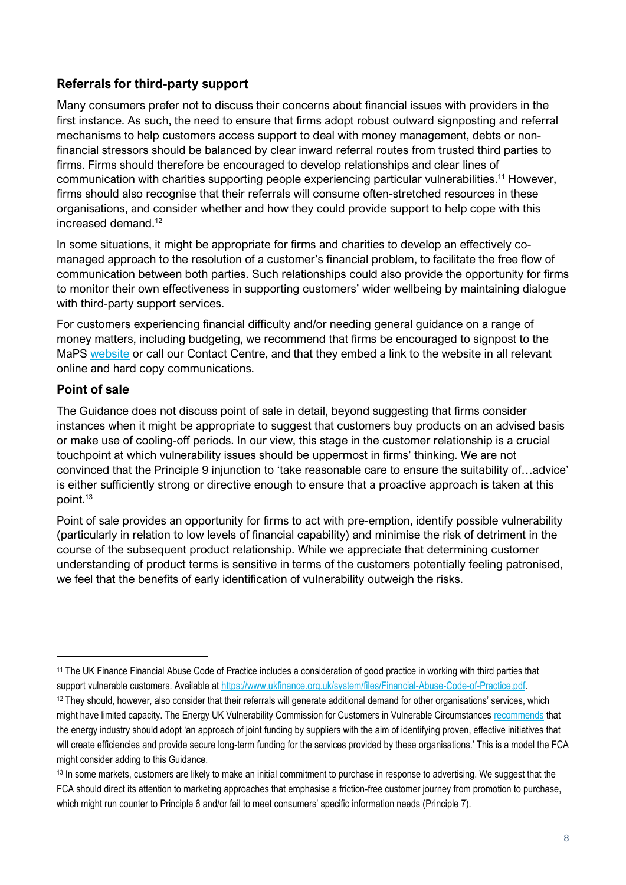#### **Referrals for third-party support**

Many consumers prefer not to discuss their concerns about financial issues with providers in the first instance. As such, the need to ensure that firms adopt robust outward signposting and referral mechanisms to help customers access support to deal with money management, debts or nonfinancial stressors should be balanced by clear inward referral routes from trusted third parties to firms. Firms should therefore be encouraged to develop relationships and clear lines of communication with charities supporting people experiencing particular vulnerabilities. <sup>11</sup> However, firms should also recognise that their referrals will consume often-stretched resources in these organisations, and consider whether and how they could provide support to help cope with this increased demand.<sup>12</sup>

In some situations, it might be appropriate for firms and charities to develop an effectively comanaged approach to the resolution of a customer's financial problem, to facilitate the free flow of communication between both parties. Such relationships could also provide the opportunity for firms to monitor their own effectiveness in supporting customers' wider wellbeing by maintaining dialogue with third-party support services.

For customers experiencing financial difficulty and/or needing general guidance on a range of money matters, including budgeting, we recommend that firms be encouraged to signpost to the MaPS [website](https://www.moneyadviceservice.org.uk/en) or call our Contact Centre, and that they embed a link to the website in all relevant online and hard copy communications.

#### **Point of sale**

The Guidance does not discuss point of sale in detail, beyond suggesting that firms consider instances when it might be appropriate to suggest that customers buy products on an advised basis or make use of cooling-off periods. In our view, this stage in the customer relationship is a crucial touchpoint at which vulnerability issues should be uppermost in firms' thinking. We are not convinced that the Principle 9 injunction to 'take reasonable care to ensure the suitability of…advice' is either sufficiently strong or directive enough to ensure that a proactive approach is taken at this point. 13

Point of sale provides an opportunity for firms to act with pre-emption, identify possible vulnerability (particularly in relation to low levels of financial capability) and minimise the risk of detriment in the course of the subsequent product relationship. While we appreciate that determining customer understanding of product terms is sensitive in terms of the customers potentially feeling patronised, we feel that the benefits of early identification of vulnerability outweigh the risks.

<sup>11</sup> The UK Finance Financial Abuse Code of Practice includes a consideration of good practice in working with third parties that support vulnerable customers. Available at [https://www.ukfinance.org.uk/system/files/Financial-Abuse-Code-of-Practice.pdf.](https://www.ukfinance.org.uk/system/files/Financial-Abuse-Code-of-Practice.pdf)

<sup>&</sup>lt;sup>12</sup> They should, however, also consider that their referrals will generate additional demand for other organisations' services, which might have limited capacity. The Energy UK Vulnerability Commission for Customers in Vulnerable Circumstances [recommends](https://www.energy-uk.org.uk/publication.html?task=file.download&id=7140) that the energy industry should adopt 'an approach of joint funding by suppliers with the aim of identifying proven, effective initiatives that will create efficiencies and provide secure long-term funding for the services provided by these organisations.' This is a model the FCA might consider adding to this Guidance.

<sup>&</sup>lt;sup>13</sup> In some markets, customers are likely to make an initial commitment to purchase in response to advertising. We suggest that the FCA should direct its attention to marketing approaches that emphasise a friction-free customer journey from promotion to purchase, which might run counter to Principle 6 and/or fail to meet consumers' specific information needs (Principle 7).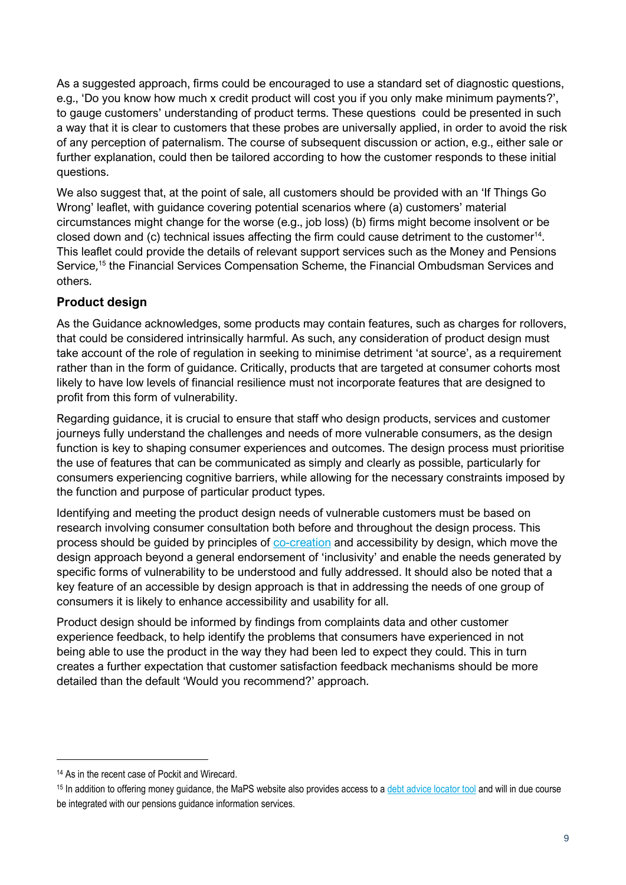As a suggested approach, firms could be encouraged to use a standard set of diagnostic questions, e.g., 'Do you know how much x credit product will cost you if you only make minimum payments?', to gauge customers' understanding of product terms. These questions could be presented in such a way that it is clear to customers that these probes are universally applied, in order to avoid the risk of any perception of paternalism. The course of subsequent discussion or action, e.g., either sale or further explanation, could then be tailored according to how the customer responds to these initial questions.

We also suggest that, at the point of sale, all customers should be provided with an 'If Things Go Wrong' leaflet, with guidance covering potential scenarios where (a) customers' material circumstances might change for the worse (e.g., job loss) (b) firms might become insolvent or be closed down and (c) technical issues affecting the firm could cause detriment to the customer<sup>14</sup>. This leaflet could provide the details of relevant support services such as the Money and Pensions Service,<sup>15</sup> the Financial Services Compensation Scheme, the Financial Ombudsman Services and others.

## **Product design**

As the Guidance acknowledges, some products may contain features, such as charges for rollovers, that could be considered intrinsically harmful. As such, any consideration of product design must take account of the role of regulation in seeking to minimise detriment 'at source', as a requirement rather than in the form of guidance. Critically, products that are targeted at consumer cohorts most likely to have low levels of financial resilience must not incorporate features that are designed to profit from this form of vulnerability.

Regarding guidance, it is crucial to ensure that staff who design products, services and customer journeys fully understand the challenges and needs of more vulnerable consumers, as the design function is key to shaping consumer experiences and outcomes. The design process must prioritise the use of features that can be communicated as simply and clearly as possible, particularly for consumers experiencing cognitive barriers, while allowing for the necessary constraints imposed by the function and purpose of particular product types.

Identifying and meeting the product design needs of vulnerable customers must be based on research involving consumer consultation both before and throughout the design process. This process should be guided by principles of [co-creation](https://en.wikipedia.org/wiki/Co-creation#The_four_building_blocks_of_interaction) and accessibility by design, which move the design approach beyond a general endorsement of 'inclusivity' and enable the needs generated by specific forms of vulnerability to be understood and fully addressed. It should also be noted that a key feature of an accessible by design approach is that in addressing the needs of one group of consumers it is likely to enhance accessibility and usability for all.

Product design should be informed by findings from complaints data and other customer experience feedback, to help identify the problems that consumers have experienced in not being able to use the product in the way they had been led to expect they could. This in turn creates a further expectation that customer satisfaction feedback mechanisms should be more detailed than the default 'Would you recommend?' approach.

<sup>14</sup> As in the recent case of Pockit and Wirecard.

<sup>&</sup>lt;sup>15</sup> In addition to offering money quidance, the MaPS website also provides access to [a debt advice locator tool](https://www.moneyadviceservice.org.uk/en/tools/debt-advice-locator) and will in due course be integrated with our pensions guidance information services.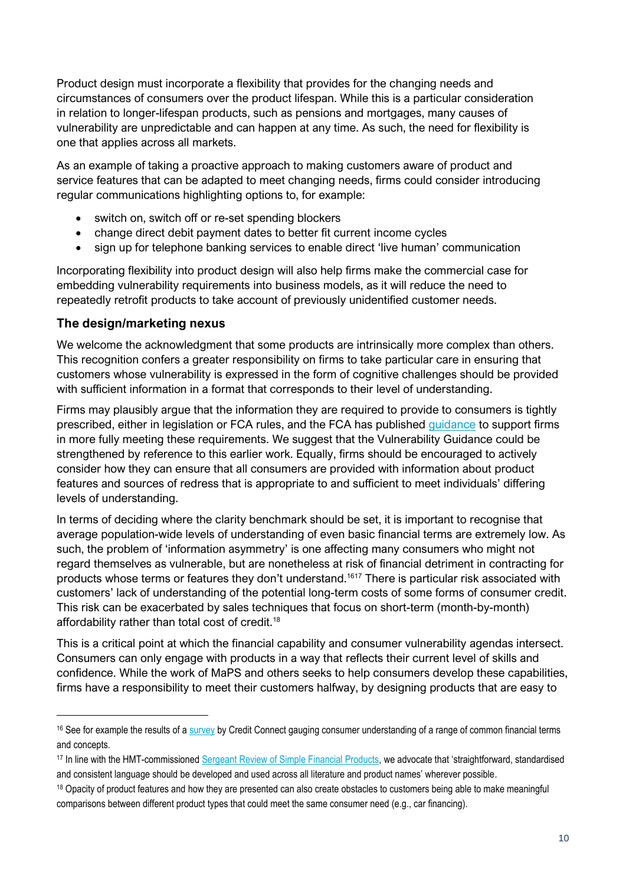Product design must incorporate a flexibility that provides for the changing needs and circumstances of consumers over the product lifespan. While this is a particular consideration in relation to longer-lifespan products, such as pensions and mortgages, many causes of vulnerability are unpredictable and can happen at any time. As such, the need for flexibility is one that applies across all markets.

As an example of taking a proactive approach to making customers aware of product and service features that can be adapted to meet changing needs, firms could consider introducing regular communications highlighting options to, for example:

- switch on, switch off or re-set spending blockers
- change direct debit payment dates to better fit current income cycles
- sign up for telephone banking services to enable direct 'live human' communication

Incorporating flexibility into product design will also help firms make the commercial case for embedding vulnerability requirements into business models, as it will reduce the need to repeatedly retrofit products to take account of previously unidentified customer needs.

#### **The design/marketing nexus**

We welcome the acknowledgment that some products are intrinsically more complex than others. This recognition confers a greater responsibility on firms to take particular care in ensuring that customers whose vulnerability is expressed in the form of cognitive challenges should be provided with sufficient information in a format that corresponds to their level of understanding.

Firms may plausibly argue that the information they are required to provide to consumers is tightly prescribed, either in legislation or FCA rules, and the FCA has published [guidance](https://www.fca.org.uk/publication/feedback/fs16-10.pdf) to support firms in more fully meeting these requirements. We suggest that the Vulnerability Guidance could be strengthened by reference to this earlier work. Equally, firms should be encouraged to actively consider how they can ensure that all consumers are provided with information about product features and sources of redress that is appropriate to and sufficient to meet individuals' differing levels of understanding.

In terms of deciding where the clarity benchmark should be set, it is important to recognise that average population-wide levels of understanding of even basic financial terms are extremely low. As such, the problem of 'information asymmetry' is one affecting many consumers who might not regard themselves as vulnerable, but are nonetheless at risk of financial detriment in contracting for products whose terms or features they don't understand.<sup>1617</sup> There is particular risk associated with customers' lack of understanding of the potential long-term costs of some forms of consumer credit. This risk can be exacerbated by sales techniques that focus on short-term (month-by-month) affordability rather than total cost of credit.<sup>18</sup>

This is a critical point at which the financial capability and consumer vulnerability agendas intersect. Consumers can only engage with products in a way that reflects their current level of skills and confidence. While the work of MaPS and others seeks to help consumers develop these capabilities, firms have a responsibility to meet their customers halfway, by designing products that are easy to

<sup>16</sup> See for example the results of a [survey](https://www.credit-connect.co.uk/consumer-news/consumers-baffled-by-finance-terminology/) by Credit Connect gauging consumer understanding of a range of common financial terms and concepts.

<sup>17</sup> In line with the HMT-commissioned [Sergeant Review of Simple Financial Products](https://assets.publishing.service.gov.uk/government/uploads/system/uploads/attachment_data/file/191721/sergeant_review_simple_products_final_report.pdf), we advocate that 'straightforward, standardised and consistent language should be developed and used across all literature and product names' wherever possible.

<sup>&</sup>lt;sup>18</sup> Opacity of product features and how they are presented can also create obstacles to customers being able to make meaningful comparisons between different product types that could meet the same consumer need (e.g., car financing).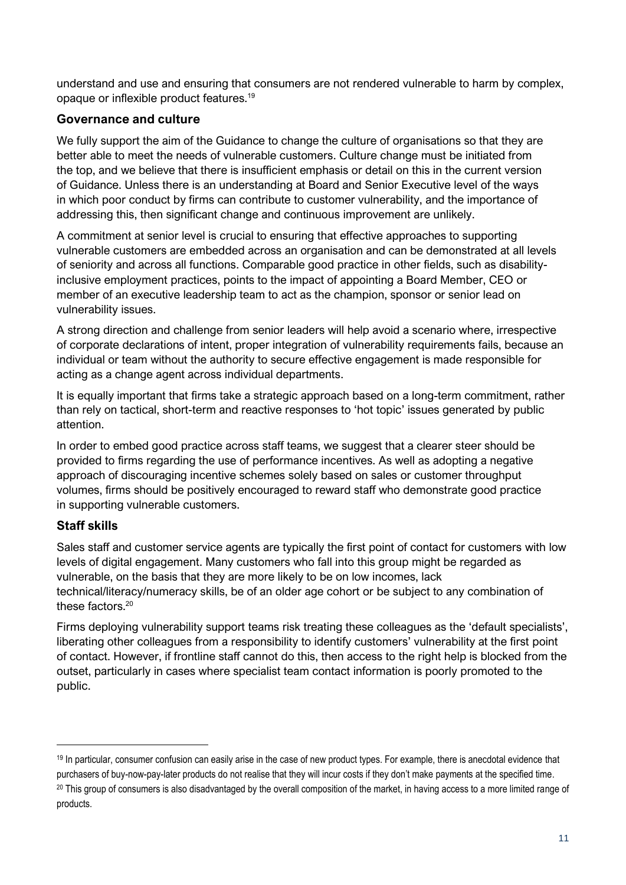understand and use and ensuring that consumers are not rendered vulnerable to harm by complex, opaque or inflexible product features.<sup>19</sup>

### **Governance and culture**

We fully support the aim of the Guidance to change the culture of organisations so that they are better able to meet the needs of vulnerable customers. Culture change must be initiated from the top, and we believe that there is insufficient emphasis or detail on this in the current version of Guidance. Unless there is an understanding at Board and Senior Executive level of the ways in which poor conduct by firms can contribute to customer vulnerability, and the importance of addressing this, then significant change and continuous improvement are unlikely.

A commitment at senior level is crucial to ensuring that effective approaches to supporting vulnerable customers are embedded across an organisation and can be demonstrated at all levels of seniority and across all functions. Comparable good practice in other fields, such as disabilityinclusive employment practices, points to the impact of appointing a Board Member, CEO or member of an executive leadership team to act as the champion, sponsor or senior lead on vulnerability issues.

A strong direction and challenge from senior leaders will help avoid a scenario where, irrespective of corporate declarations of intent, proper integration of vulnerability requirements fails, because an individual or team without the authority to secure effective engagement is made responsible for acting as a change agent across individual departments.

It is equally important that firms take a strategic approach based on a long-term commitment, rather than rely on tactical, short-term and reactive responses to 'hot topic' issues generated by public attention.

In order to embed good practice across staff teams, we suggest that a clearer steer should be provided to firms regarding the use of performance incentives. As well as adopting a negative approach of discouraging incentive schemes solely based on sales or customer throughput volumes, firms should be positively encouraged to reward staff who demonstrate good practice in supporting vulnerable customers.

## **Staff skills**

Sales staff and customer service agents are typically the first point of contact for customers with low levels of digital engagement. Many customers who fall into this group might be regarded as vulnerable, on the basis that they are more likely to be on low incomes, lack technical/literacy/numeracy skills, be of an older age cohort or be subject to any combination of these factors. 20

Firms deploying vulnerability support teams risk treating these colleagues as the 'default specialists', liberating other colleagues from a responsibility to identify customers' vulnerability at the first point of contact. However, if frontline staff cannot do this, then access to the right help is blocked from the outset, particularly in cases where specialist team contact information is poorly promoted to the public.

<sup>19</sup> In particular, consumer confusion can easily arise in the case of new product types. For example, there is anecdotal evidence that purchasers of buy-now-pay-later products do not realise that they will incur costs if they don't make payments at the specified time. <sup>20</sup> This group of consumers is also disadvantaged by the overall composition of the market, in having access to a more limited range of

products.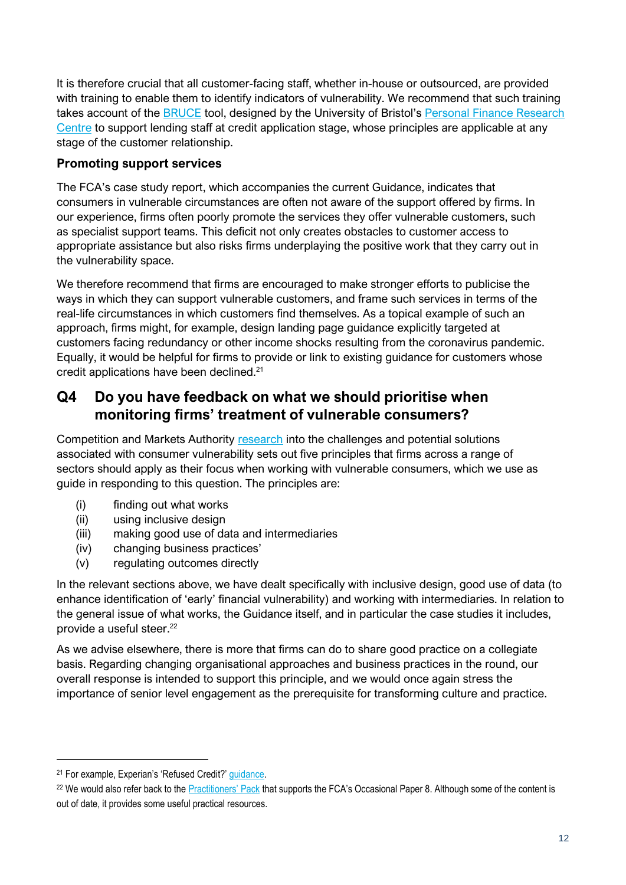It is therefore crucial that all customer-facing staff, whether in-house or outsourced, are provided with training to enable them to identify indicators of vulnerability. We recommend that such training takes account of the [BRUCE](http://www.bristol.ac.uk/media-library/sites/geography/pfrc/pfrc1703-vulnerability-guide-for-lending-(web).pdf) tool, designed by the University of Bristol's Personal Finance Research [Centre](http://www.bristol.ac.uk/geography/research/pfrc/) to support lending staff at credit application stage, whose principles are applicable at any stage of the customer relationship.

### **Promoting support services**

The FCA's case study report, which accompanies the current Guidance, indicates that consumers in vulnerable circumstances are often not aware of the support offered by firms. In our experience, firms often poorly promote the services they offer vulnerable customers, such as specialist support teams. This deficit not only creates obstacles to customer access to appropriate assistance but also risks firms underplaying the positive work that they carry out in the vulnerability space.

We therefore recommend that firms are encouraged to make stronger efforts to publicise the ways in which they can support vulnerable customers, and frame such services in terms of the real-life circumstances in which customers find themselves. As a topical example of such an approach, firms might, for example, design landing page guidance explicitly targeted at customers facing redundancy or other income shocks resulting from the coronavirus pandemic. Equally, it would be helpful for firms to provide or link to existing guidance for customers whose credit applications have been declined.<sup>21</sup>

## **Q4 Do you have feedback on what we should prioritise when monitoring firms' treatment of vulnerable consumers?**

Competition and Markets Authority [research](https://www.gov.uk/government/publications/consumer-vulnerability-challenges-and-potential-solutions/consumer-vulnerability-challenges-and-potential-solutions#implications-for-remedy-design) into the challenges and potential solutions associated with consumer vulnerability sets out five principles that firms across a range of sectors should apply as their focus when working with vulnerable consumers, which we use as guide in responding to this question. The principles are:

- (i) finding out what works
- (ii) using inclusive design
- (iii) making good use of data and intermediaries
- (iv) changing business practices'
- (v) regulating outcomes directly

In the relevant sections above, we have dealt specifically with inclusive design, good use of data (to enhance identification of 'early' financial vulnerability) and working with intermediaries. In relation to the general issue of what works, the Guidance itself, and in particular the case studies it includes, provide a useful steer. 22

As we advise elsewhere, there is more that firms can do to share good practice on a collegiate basis. Regarding changing organisational approaches and business practices in the round, our overall response is intended to support this principle, and we would once again stress the importance of senior level engagement as the prerequisite for transforming culture and practice.

<sup>21</sup> For example, Experian's 'Refused Credit?' [guidance.](https://www.experian.co.uk/consumer/guides/refused-credit.html#:~:text=This%20sometimes%20happens%20if%20you,ve%20successfully%20repaid%20credit%20before.)

<sup>&</sup>lt;sup>22</sup> We would also refer back to the Practiti[oners' Pack](https://www.fca.org.uk/publication/occasional-papers/occasional-paper-8-practitioners-pack.pdf) that supports the FCA's Occasional Paper 8. Although some of the content is out of date, it provides some useful practical resources.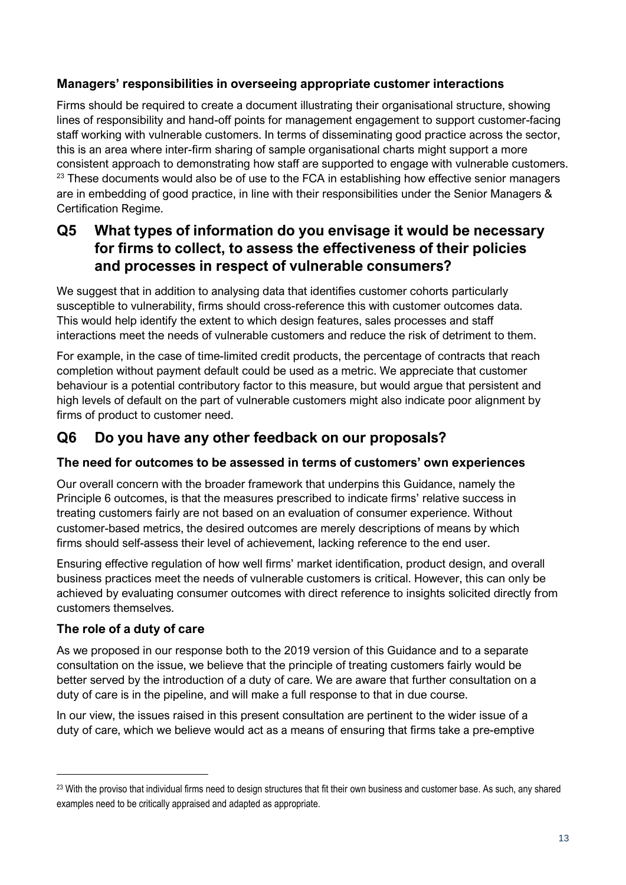### **Managers' responsibilities in overseeing appropriate customer interactions**

Firms should be required to create a document illustrating their organisational structure, showing lines of responsibility and hand-off points for management engagement to support customer-facing staff working with vulnerable customers. In terms of disseminating good practice across the sector, this is an area where inter-firm sharing of sample organisational charts might support a more consistent approach to demonstrating how staff are supported to engage with vulnerable customers. <sup>23</sup> These documents would also be of use to the FCA in establishing how effective senior managers are in embedding of good practice, in line with their responsibilities under the Senior Managers & Certification Regime.

## **Q5 What types of information do you envisage it would be necessary for firms to collect, to assess the effectiveness of their policies and processes in respect of vulnerable consumers?**

We suggest that in addition to analysing data that identifies customer cohorts particularly susceptible to vulnerability, firms should cross-reference this with customer outcomes data. This would help identify the extent to which design features, sales processes and staff interactions meet the needs of vulnerable customers and reduce the risk of detriment to them.

For example, in the case of time-limited credit products, the percentage of contracts that reach completion without payment default could be used as a metric. We appreciate that customer behaviour is a potential contributory factor to this measure, but would argue that persistent and high levels of default on the part of vulnerable customers might also indicate poor alignment by firms of product to customer need.

## **Q6 Do you have any other feedback on our proposals?**

### **The need for outcomes to be assessed in terms of customers' own experiences**

Our overall concern with the broader framework that underpins this Guidance, namely the Principle 6 outcomes, is that the measures prescribed to indicate firms' relative success in treating customers fairly are not based on an evaluation of consumer experience. Without customer-based metrics, the desired outcomes are merely descriptions of means by which firms should self-assess their level of achievement, lacking reference to the end user.

Ensuring effective regulation of how well firms' market identification, product design, and overall business practices meet the needs of vulnerable customers is critical. However, this can only be achieved by evaluating consumer outcomes with direct reference to insights solicited directly from customers themselves.

### **The role of a duty of care**

As we proposed in our response both to the 2019 version of this Guidance and to a separate consultation on the issue, we believe that the principle of treating customers fairly would be better served by the introduction of a duty of care. We are aware that further consultation on a duty of care is in the pipeline, and will make a full response to that in due course.

In our view, the issues raised in this present consultation are pertinent to the wider issue of a duty of care, which we believe would act as a means of ensuring that firms take a pre-emptive

<sup>&</sup>lt;sup>23</sup> With the proviso that individual firms need to design structures that fit their own business and customer base. As such, any shared examples need to be critically appraised and adapted as appropriate.